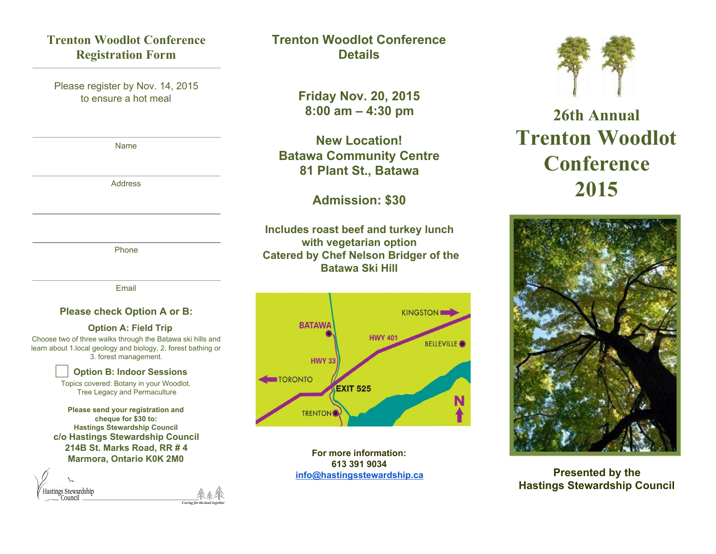# **Trenton Woodlot Conference Registration Form**

Please register by Nov. 14, 2015 to ensure a hot meal

Name

Address

Phone

Email

#### **Please check Option A or B:**

#### **Option A: Field Trip**

Choose two of three walks through the Batawa ski hills and learn about 1.local geology and biology, 2. forest bathing or 3. forest management.

⃞**Option B: Indoor Sessions**

Topics covered: Botany in your Woodlot. Tree Legacy and Permaculture

**Please send your registration and cheque for \$30 to: Hastings Stewardship Council c/o Hastings Stewardship Council 214B St. Marks Road, RR # 4 Marmora, Ontario K0K 2M0**

| Hastings Stewardship<br>Council |                        |
|---------------------------------|------------------------|
|                                 | Caring for the land to |

# **Trenton Woodlot Conference Details**

**Friday Nov. 20, 2015 8:00 am – 4:30 pm**

**New Location! Batawa Community Centre 81 Plant St., Batawa**

## **Admission: \$30**

**Includes roast beef and turkey lunch with vegetarian option Catered by Chef Nelson Bridger of the Batawa Ski Hill**



**For more information: 613 391 9034 [info@hastingsstewardship.ca](mailto:info@hastingsstewardship.ca)**



# **26th Annual Trenton Woodlot Conference 2015**



## **Presented by the Hastings Stewardship Council**